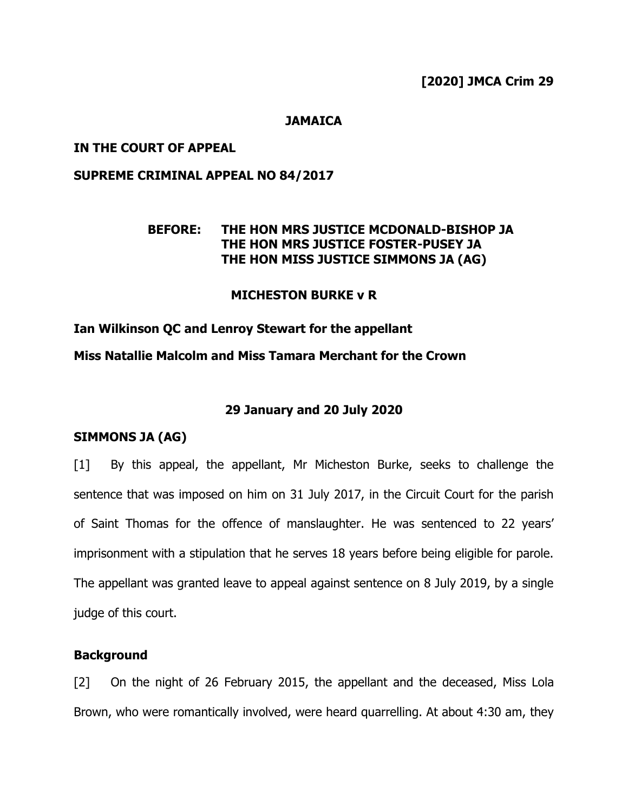### **JAMAICA**

### **IN THE COURT OF APPEAL**

### **SUPREME CRIMINAL APPEAL NO 84/2017**

### **BEFORE: THE HON MRS JUSTICE MCDONALD-BISHOP JA THE HON MRS JUSTICE FOSTER-PUSEY JA THE HON MISS JUSTICE SIMMONS JA (AG)**

### **MICHESTON BURKE v R**

**Ian Wilkinson QC and Lenroy Stewart for the appellant Miss Natallie Malcolm and Miss Tamara Merchant for the Crown** 

### **29 January and 20 July 2020**

#### **SIMMONS JA (AG)**

[1] By this appeal, the appellant, Mr Micheston Burke, seeks to challenge the sentence that was imposed on him on 31 July 2017, in the Circuit Court for the parish of Saint Thomas for the offence of manslaughter. He was sentenced to 22 years' imprisonment with a stipulation that he serves 18 years before being eligible for parole. The appellant was granted leave to appeal against sentence on 8 July 2019, by a single judge of this court.

#### **Background**

[2] On the night of 26 February 2015, the appellant and the deceased, Miss Lola Brown, who were romantically involved, were heard quarrelling. At about 4:30 am, they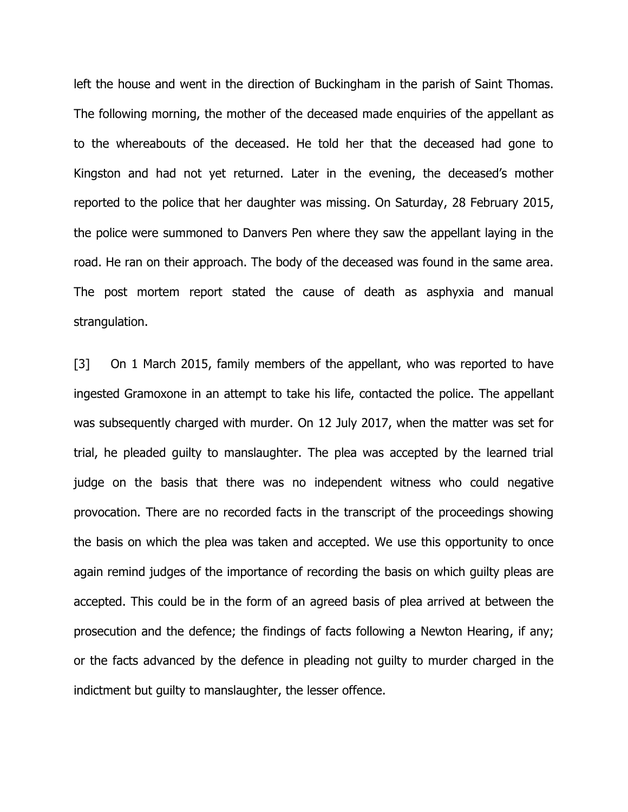left the house and went in the direction of Buckingham in the parish of Saint Thomas. The following morning, the mother of the deceased made enquiries of the appellant as to the whereabouts of the deceased. He told her that the deceased had gone to Kingston and had not yet returned. Later in the evening, the deceased's mother reported to the police that her daughter was missing. On Saturday, 28 February 2015, the police were summoned to Danvers Pen where they saw the appellant laying in the road. He ran on their approach. The body of the deceased was found in the same area. The post mortem report stated the cause of death as asphyxia and manual strangulation.

[3] On 1 March 2015, family members of the appellant, who was reported to have ingested Gramoxone in an attempt to take his life, contacted the police. The appellant was subsequently charged with murder. On 12 July 2017, when the matter was set for trial, he pleaded guilty to manslaughter. The plea was accepted by the learned trial judge on the basis that there was no independent witness who could negative provocation. There are no recorded facts in the transcript of the proceedings showing the basis on which the plea was taken and accepted. We use this opportunity to once again remind judges of the importance of recording the basis on which guilty pleas are accepted. This could be in the form of an agreed basis of plea arrived at between the prosecution and the defence; the findings of facts following a Newton Hearing, if any; or the facts advanced by the defence in pleading not guilty to murder charged in the indictment but guilty to manslaughter, the lesser offence.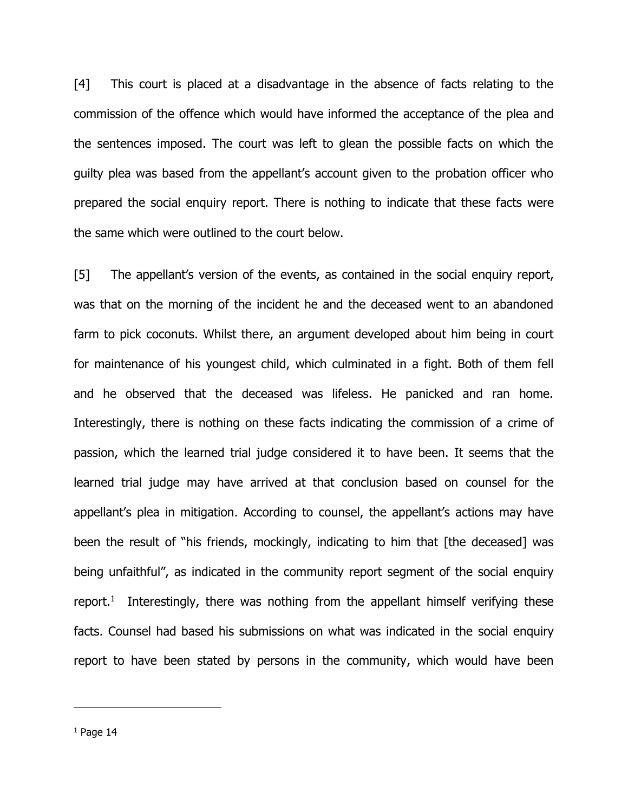[4] This court is placed at a disadvantage in the absence of facts relating to the commission of the offence which would have informed the acceptance of the plea and the sentences imposed. The court was left to glean the possible facts on which the guilty plea was based from the appellant's account given to the probation officer who prepared the social enquiry report. There is nothing to indicate that these facts were the same which were outlined to the court below.

[5] The appellant's version of the events, as contained in the social enquiry report, was that on the morning of the incident he and the deceased went to an abandoned farm to pick coconuts. Whilst there, an argument developed about him being in court for maintenance of his youngest child, which culminated in a fight. Both of them fell and he observed that the deceased was lifeless. He panicked and ran home. Interestingly, there is nothing on these facts indicating the commission of a crime of passion, which the learned trial judge considered it to have been. It seems that the learned trial judge may have arrived at that conclusion based on counsel for the appellant's plea in mitigation. According to counsel, the appellant's actions may have been the result of "his friends, mockingly, indicating to him that [the deceased] was being unfaithful", as indicated in the community report segment of the social enquiry report.<sup>1</sup> Interestingly, there was nothing from the appellant himself verifying these facts. Counsel had based his submissions on what was indicated in the social enquiry report to have been stated by persons in the community, which would have been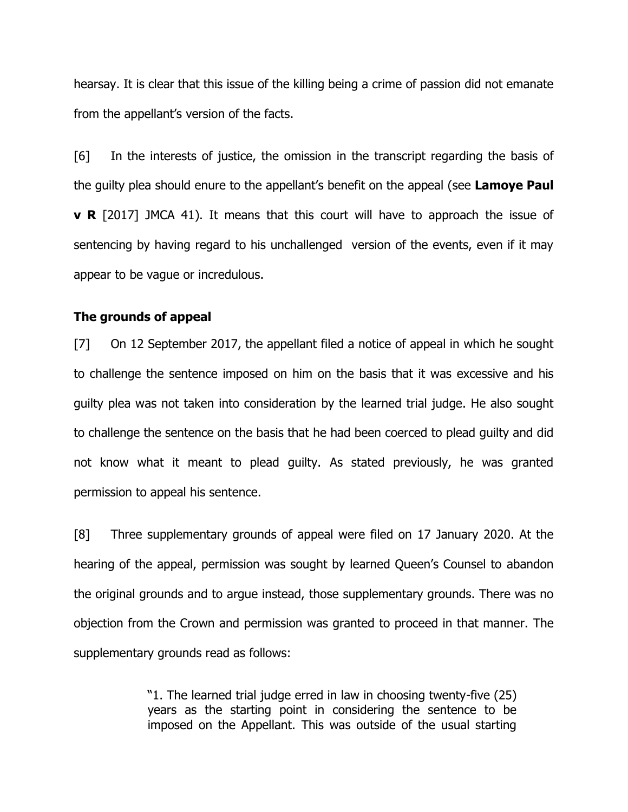hearsay. It is clear that this issue of the killing being a crime of passion did not emanate from the appellant's version of the facts.

[6] In the interests of justice, the omission in the transcript regarding the basis of the guilty plea should enure to the appellant's benefit on the appeal (see **Lamoye Paul v R** [2017] JMCA 41). It means that this court will have to approach the issue of sentencing by having regard to his unchallenged version of the events, even if it may appear to be vague or incredulous.

#### **The grounds of appeal**

[7] On 12 September 2017, the appellant filed a notice of appeal in which he sought to challenge the sentence imposed on him on the basis that it was excessive and his guilty plea was not taken into consideration by the learned trial judge. He also sought to challenge the sentence on the basis that he had been coerced to plead guilty and did not know what it meant to plead guilty. As stated previously, he was granted permission to appeal his sentence.

[8] Three supplementary grounds of appeal were filed on 17 January 2020. At the hearing of the appeal, permission was sought by learned Queen's Counsel to abandon the original grounds and to argue instead, those supplementary grounds. There was no objection from the Crown and permission was granted to proceed in that manner. The supplementary grounds read as follows:

> "1. The learned trial judge erred in law in choosing twenty-five (25) years as the starting point in considering the sentence to be imposed on the Appellant. This was outside of the usual starting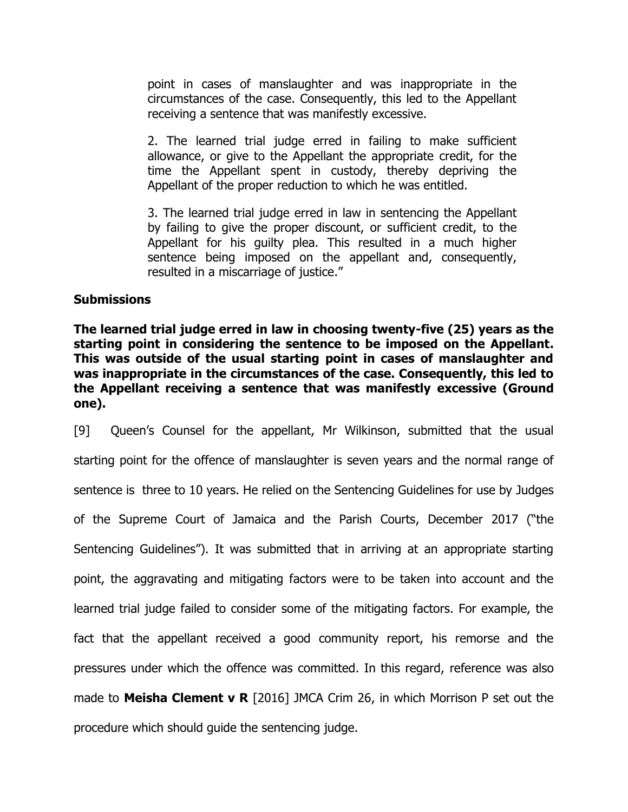point in cases of manslaughter and was inappropriate in the circumstances of the case. Consequently, this led to the Appellant receiving a sentence that was manifestly excessive.

2. The learned trial judge erred in failing to make sufficient allowance, or give to the Appellant the appropriate credit, for the time the Appellant spent in custody, thereby depriving the Appellant of the proper reduction to which he was entitled.

3. The learned trial judge erred in law in sentencing the Appellant by failing to give the proper discount, or sufficient credit, to the Appellant for his guilty plea. This resulted in a much higher sentence being imposed on the appellant and, consequently, resulted in a miscarriage of justice."

#### **Submissions**

**The learned trial judge erred in law in choosing twenty-five (25) years as the starting point in considering the sentence to be imposed on the Appellant. This was outside of the usual starting point in cases of manslaughter and was inappropriate in the circumstances of the case. Consequently, this led to the Appellant receiving a sentence that was manifestly excessive (Ground one).**

[9] Queen's Counsel for the appellant, Mr Wilkinson, submitted that the usual starting point for the offence of manslaughter is seven years and the normal range of sentence is three to 10 years. He relied on the Sentencing Guidelines for use by Judges of the Supreme Court of Jamaica and the Parish Courts, December 2017 ("the Sentencing Guidelines"). It was submitted that in arriving at an appropriate starting point, the aggravating and mitigating factors were to be taken into account and the learned trial judge failed to consider some of the mitigating factors. For example, the fact that the appellant received a good community report, his remorse and the pressures under which the offence was committed. In this regard, reference was also made to **Meisha Clement v R** [2016] JMCA Crim 26, in which Morrison P set out the procedure which should guide the sentencing judge.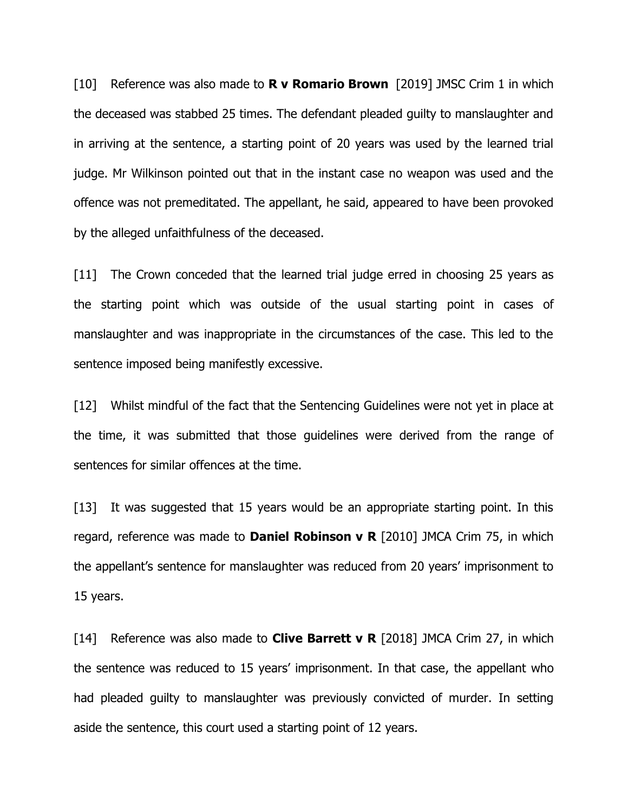[10] Reference was also made to **R v Romario Brown** [2019] JMSC Crim 1 in which the deceased was stabbed 25 times. The defendant pleaded guilty to manslaughter and in arriving at the sentence, a starting point of 20 years was used by the learned trial judge. Mr Wilkinson pointed out that in the instant case no weapon was used and the offence was not premeditated. The appellant, he said, appeared to have been provoked by the alleged unfaithfulness of the deceased.

[11] The Crown conceded that the learned trial judge erred in choosing 25 years as the starting point which was outside of the usual starting point in cases of manslaughter and was inappropriate in the circumstances of the case. This led to the sentence imposed being manifestly excessive.

[12] Whilst mindful of the fact that the Sentencing Guidelines were not yet in place at the time, it was submitted that those guidelines were derived from the range of sentences for similar offences at the time.

[13] It was suggested that 15 years would be an appropriate starting point. In this regard, reference was made to **Daniel Robinson v R** [2010] JMCA Crim 75, in which the appellant's sentence for manslaughter was reduced from 20 years' imprisonment to 15 years.

[14] Reference was also made to **Clive Barrett v R** [2018] JMCA Crim 27, in which the sentence was reduced to 15 years' imprisonment. In that case, the appellant who had pleaded guilty to manslaughter was previously convicted of murder. In setting aside the sentence, this court used a starting point of 12 years.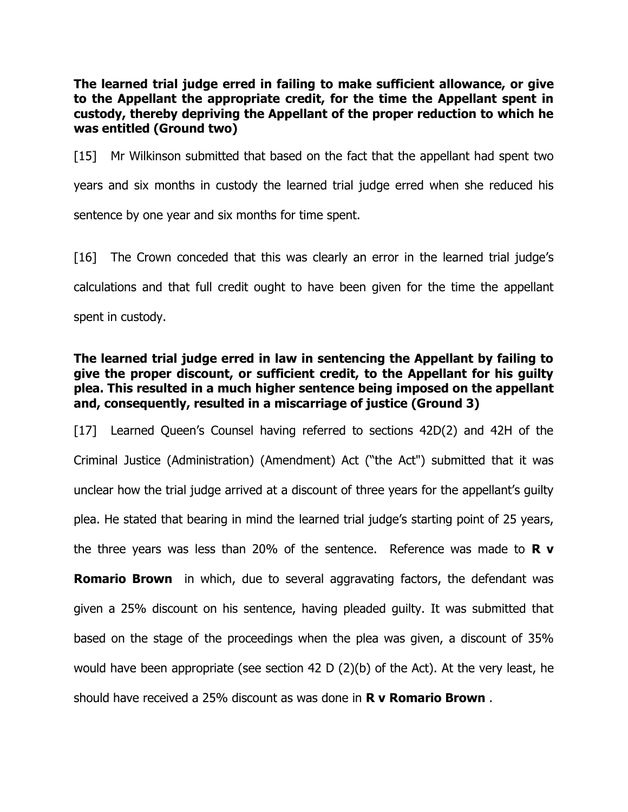**The learned trial judge erred in failing to make sufficient allowance, or give to the Appellant the appropriate credit, for the time the Appellant spent in custody, thereby depriving the Appellant of the proper reduction to which he was entitled (Ground two)**

[15] Mr Wilkinson submitted that based on the fact that the appellant had spent two years and six months in custody the learned trial judge erred when she reduced his sentence by one year and six months for time spent.

[16] The Crown conceded that this was clearly an error in the learned trial judge's calculations and that full credit ought to have been given for the time the appellant spent in custody.

## **The learned trial judge erred in law in sentencing the Appellant by failing to give the proper discount, or sufficient credit, to the Appellant for his guilty plea. This resulted in a much higher sentence being imposed on the appellant and, consequently, resulted in a miscarriage of justice (Ground 3)**

[17] Learned Queen's Counsel having referred to sections 42D(2) and 42H of the Criminal Justice (Administration) (Amendment) Act ("the Act") submitted that it was unclear how the trial judge arrived at a discount of three years for the appellant's guilty plea. He stated that bearing in mind the learned trial judge's starting point of 25 years, the three years was less than 20% of the sentence. Reference was made to **R v Romario Brown** in which, due to several aggravating factors, the defendant was given a 25% discount on his sentence, having pleaded guilty. It was submitted that based on the stage of the proceedings when the plea was given, a discount of 35% would have been appropriate (see section 42 D (2)(b) of the Act). At the very least, he should have received a 25% discount as was done in **R v Romario Brown** .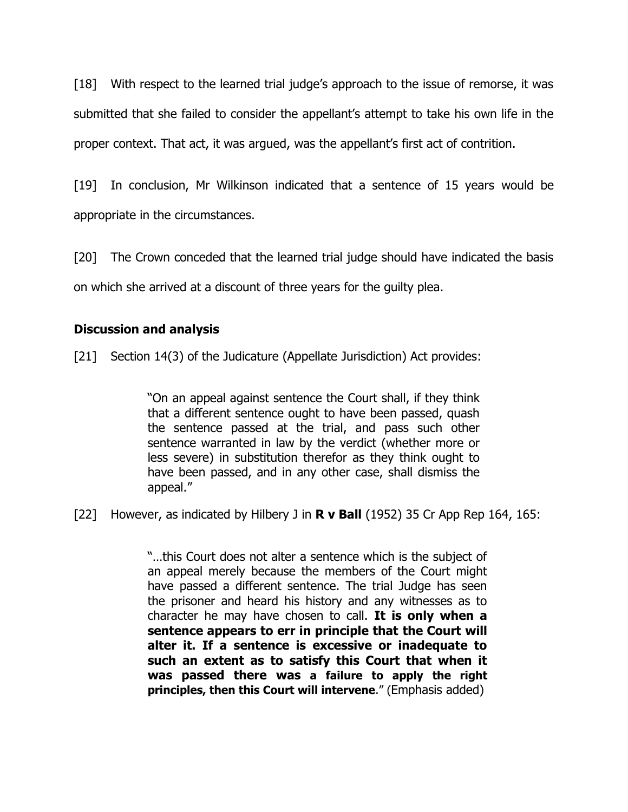[18] With respect to the learned trial judge's approach to the issue of remorse, it was submitted that she failed to consider the appellant's attempt to take his own life in the proper context. That act, it was argued, was the appellant's first act of contrition.

[19] In conclusion, Mr Wilkinson indicated that a sentence of 15 years would be appropriate in the circumstances.

[20] The Crown conceded that the learned trial judge should have indicated the basis on which she arrived at a discount of three years for the guilty plea.

# **Discussion and analysis**

[21] Section 14(3) of the Judicature (Appellate Jurisdiction) Act provides:

"On an appeal against sentence the Court shall, if they think that a different sentence ought to have been passed, quash the sentence passed at the trial, and pass such other sentence warranted in law by the verdict (whether more or less severe) in substitution therefor as they think ought to have been passed, and in any other case, shall dismiss the appeal."

[22] However, as indicated by Hilbery J in **R v Ball** (1952) 35 Cr App Rep 164, 165:

"…this Court does not alter a sentence which is the subject of an appeal merely because the members of the Court might have passed a different sentence. The trial Judge has seen the prisoner and heard his history and any witnesses as to character he may have chosen to call. **It is only when a sentence appears to err in principle that the Court will alter it. If a sentence is excessive or inadequate to such an extent as to satisfy this Court that when it was passed there was a failure to apply the right principles, then this Court will intervene**." (Emphasis added)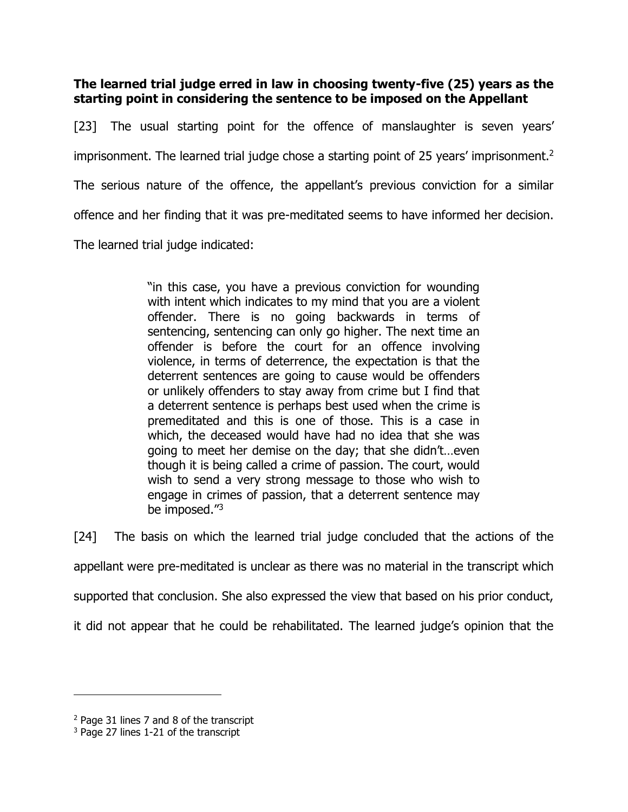**The learned trial judge erred in law in choosing twenty-five (25) years as the starting point in considering the sentence to be imposed on the Appellant** 

[23] The usual starting point for the offence of manslaughter is seven years' imprisonment. The learned trial judge chose a starting point of 25 years' imprisonment.<sup>2</sup> The serious nature of the offence, the appellant's previous conviction for a similar offence and her finding that it was pre-meditated seems to have informed her decision. The learned trial judge indicated:

> "in this case, you have a previous conviction for wounding with intent which indicates to my mind that you are a violent offender. There is no going backwards in terms of sentencing, sentencing can only go higher. The next time an offender is before the court for an offence involving violence, in terms of deterrence, the expectation is that the deterrent sentences are going to cause would be offenders or unlikely offenders to stay away from crime but I find that a deterrent sentence is perhaps best used when the crime is premeditated and this is one of those. This is a case in which, the deceased would have had no idea that she was going to meet her demise on the day; that she didn't…even though it is being called a crime of passion. The court, would wish to send a very strong message to those who wish to engage in crimes of passion, that a deterrent sentence may be imposed."<sup>3</sup>

[24] The basis on which the learned trial judge concluded that the actions of the appellant were pre-meditated is unclear as there was no material in the transcript which supported that conclusion. She also expressed the view that based on his prior conduct, it did not appear that he could be rehabilitated. The learned judge's opinion that the

<sup>2</sup> Page 31 lines 7 and 8 of the transcript

<sup>&</sup>lt;sup>3</sup> Page 27 lines 1-21 of the transcript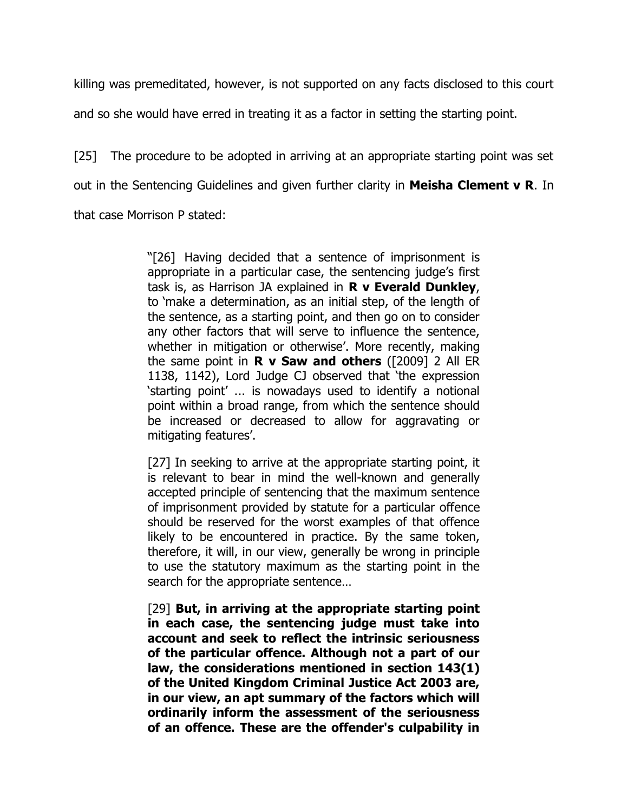killing was premeditated, however, is not supported on any facts disclosed to this court

and so she would have erred in treating it as a factor in setting the starting point.

[25] The procedure to be adopted in arriving at an appropriate starting point was set out in the Sentencing Guidelines and given further clarity in **Meisha Clement v R**. In that case Morrison P stated:

> "[26] Having decided that a sentence of imprisonment is appropriate in a particular case, the sentencing judge's first task is, as Harrison JA explained in **R v Everald Dunkley**, to 'make a determination, as an initial step, of the length of the sentence, as a starting point, and then go on to consider any other factors that will serve to influence the sentence, whether in mitigation or otherwise'. More recently, making the same point in **R v Saw and others** ([2009] 2 All ER 1138, 1142), Lord Judge CJ observed that 'the expression 'starting point' ... is nowadays used to identify a notional point within a broad range, from which the sentence should be increased or decreased to allow for aggravating or mitigating features'.

> [27] In seeking to arrive at the appropriate starting point, it is relevant to bear in mind the well-known and generally accepted principle of sentencing that the maximum sentence of imprisonment provided by statute for a particular offence should be reserved for the worst examples of that offence likely to be encountered in practice. By the same token, therefore, it will, in our view, generally be wrong in principle to use the statutory maximum as the starting point in the search for the appropriate sentence…

> [29] **But, in arriving at the appropriate starting point in each case, the sentencing judge must take into account and seek to reflect the intrinsic seriousness of the particular offence. Although not a part of our law, the considerations mentioned in section 143(1) of the United Kingdom Criminal Justice Act 2003 are, in our view, an apt summary of the factors which will ordinarily inform the assessment of the seriousness of an offence. These are the offender's culpability in**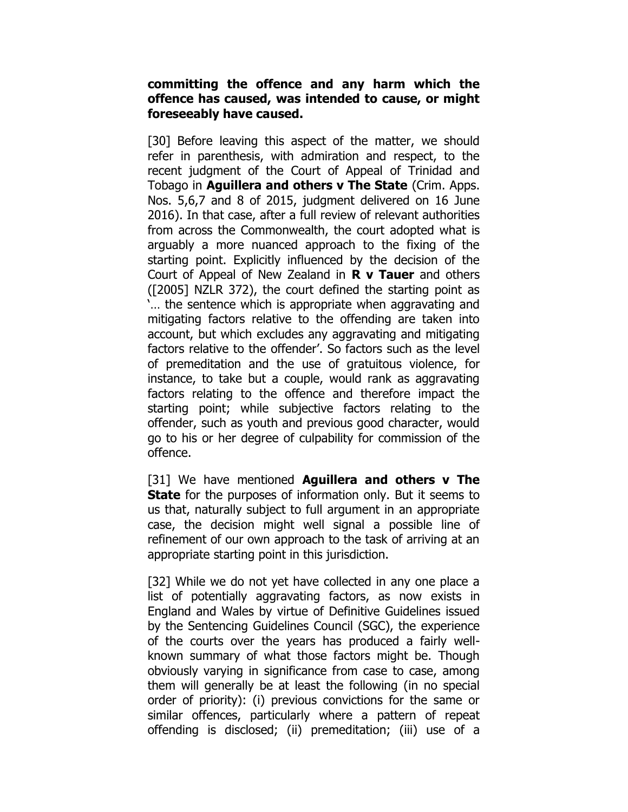### **committing the offence and any harm which the offence has caused, was intended to cause, or might foreseeably have caused.**

[30] Before leaving this aspect of the matter, we should refer in parenthesis, with admiration and respect, to the recent judgment of the Court of Appeal of Trinidad and Tobago in **Aguillera and others v The State** (Crim. Apps. Nos. 5,6,7 and 8 of 2015, judgment delivered on 16 June 2016). In that case, after a full review of relevant authorities from across the Commonwealth, the court adopted what is arguably a more nuanced approach to the fixing of the starting point. Explicitly influenced by the decision of the Court of Appeal of New Zealand in **R v Tauer** and others ([2005] NZLR 372), the court defined the starting point as '… the sentence which is appropriate when aggravating and mitigating factors relative to the offending are taken into account, but which excludes any aggravating and mitigating factors relative to the offender'. So factors such as the level of premeditation and the use of gratuitous violence, for instance, to take but a couple, would rank as aggravating factors relating to the offence and therefore impact the starting point; while subjective factors relating to the offender, such as youth and previous good character, would go to his or her degree of culpability for commission of the offence.

[31] We have mentioned **Aguillera and others v The State** for the purposes of information only. But it seems to us that, naturally subject to full argument in an appropriate case, the decision might well signal a possible line of refinement of our own approach to the task of arriving at an appropriate starting point in this jurisdiction.

[32] While we do not yet have collected in any one place a list of potentially aggravating factors, as now exists in England and Wales by virtue of Definitive Guidelines issued by the Sentencing Guidelines Council (SGC), the experience of the courts over the years has produced a fairly wellknown summary of what those factors might be. Though obviously varying in significance from case to case, among them will generally be at least the following (in no special order of priority): (i) previous convictions for the same or similar offences, particularly where a pattern of repeat offending is disclosed; (ii) premeditation; (iii) use of a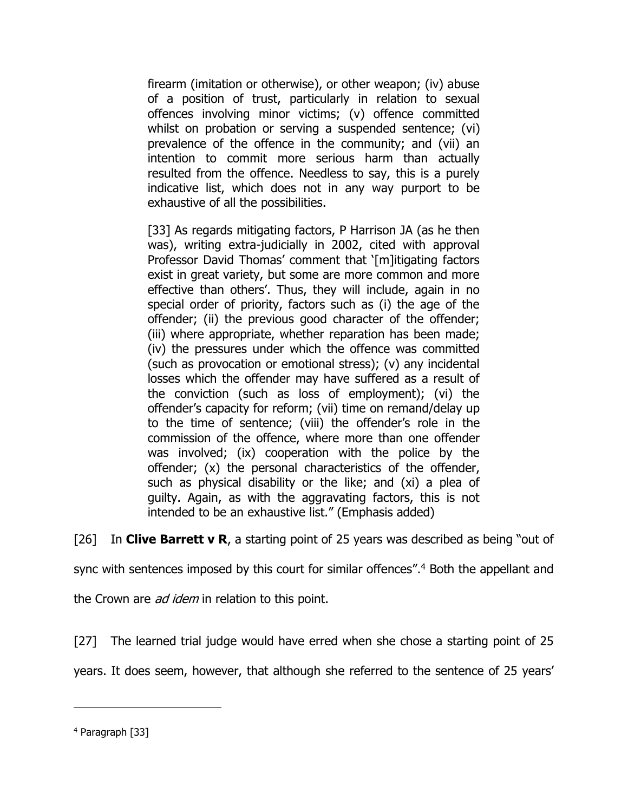firearm (imitation or otherwise), or other weapon; (iv) abuse of a position of trust, particularly in relation to sexual offences involving minor victims; (v) offence committed whilst on probation or serving a suspended sentence; (vi) prevalence of the offence in the community; and (vii) an intention to commit more serious harm than actually resulted from the offence. Needless to say, this is a purely indicative list, which does not in any way purport to be exhaustive of all the possibilities.

[33] As regards mitigating factors, P Harrison JA (as he then was), writing extra-judicially in 2002, cited with approval Professor David Thomas' comment that '[m]itigating factors exist in great variety, but some are more common and more effective than others'. Thus, they will include, again in no special order of priority, factors such as (i) the age of the offender; (ii) the previous good character of the offender; (iii) where appropriate, whether reparation has been made; (iv) the pressures under which the offence was committed (such as provocation or emotional stress); (v) any incidental losses which the offender may have suffered as a result of the conviction (such as loss of employment); (vi) the offender's capacity for reform; (vii) time on remand/delay up to the time of sentence; (viii) the offender's role in the commission of the offence, where more than one offender was involved; (ix) cooperation with the police by the offender; (x) the personal characteristics of the offender, such as physical disability or the like; and (xi) a plea of guilty. Again, as with the aggravating factors, this is not intended to be an exhaustive list." (Emphasis added)

[26] In **Clive Barrett v R**, a starting point of 25 years was described as being "out of

sync with sentences imposed by this court for similar offences".<sup>4</sup> Both the appellant and

the Crown are *ad idem* in relation to this point.

[27] The learned trial judge would have erred when she chose a starting point of 25

years. It does seem, however, that although she referred to the sentence of 25 years'

<sup>4</sup> Paragraph [33]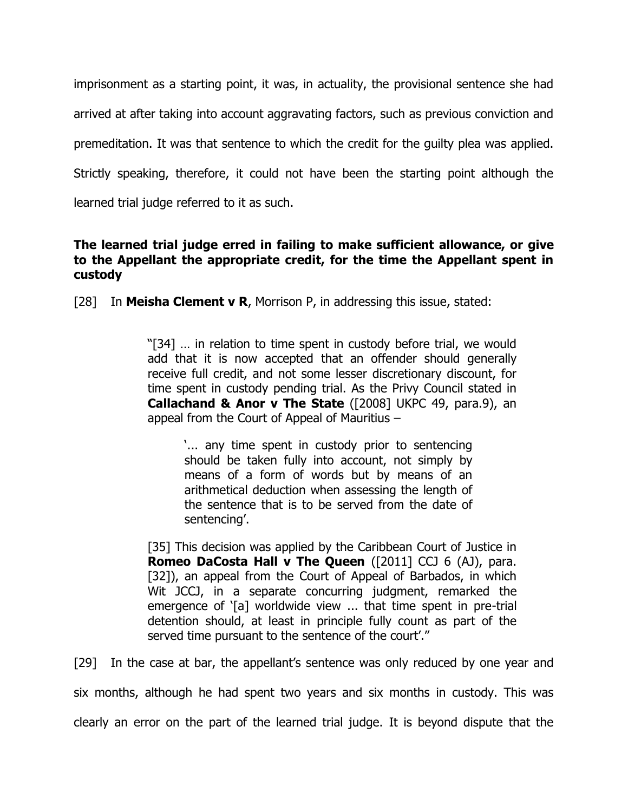imprisonment as a starting point, it was, in actuality, the provisional sentence she had arrived at after taking into account aggravating factors, such as previous conviction and premeditation. It was that sentence to which the credit for the guilty plea was applied. Strictly speaking, therefore, it could not have been the starting point although the learned trial judge referred to it as such.

## **The learned trial judge erred in failing to make sufficient allowance, or give to the Appellant the appropriate credit, for the time the Appellant spent in custody**

[28] In **Meisha Clement v R**, Morrison P, in addressing this issue, stated:

"[34] … in relation to time spent in custody before trial, we would add that it is now accepted that an offender should generally receive full credit, and not some lesser discretionary discount, for time spent in custody pending trial. As the Privy Council stated in **Callachand & Anor v The State** ([2008] UKPC 49, para.9), an appeal from the Court of Appeal of Mauritius –

'... any time spent in custody prior to sentencing should be taken fully into account, not simply by means of a form of words but by means of an arithmetical deduction when assessing the length of the sentence that is to be served from the date of sentencing'.

[35] This decision was applied by the Caribbean Court of Justice in **Romeo DaCosta Hall v The Queen** ([2011] CCJ 6 (AJ), para. [32]), an appeal from the Court of Appeal of Barbados, in which Wit JCCJ, in a separate concurring judgment, remarked the emergence of '[a] worldwide view ... that time spent in pre-trial detention should, at least in principle fully count as part of the served time pursuant to the sentence of the court'."

[29] In the case at bar, the appellant's sentence was only reduced by one year and

six months, although he had spent two years and six months in custody. This was

clearly an error on the part of the learned trial judge. It is beyond dispute that the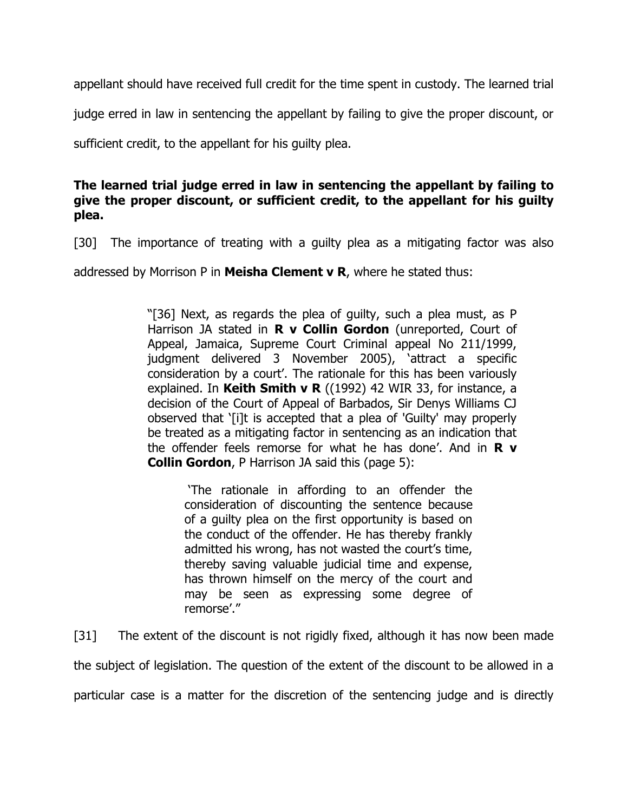appellant should have received full credit for the time spent in custody. The learned trial

judge erred in law in sentencing the appellant by failing to give the proper discount, or

sufficient credit, to the appellant for his guilty plea.

## **The learned trial judge erred in law in sentencing the appellant by failing to give the proper discount, or sufficient credit, to the appellant for his guilty plea.**

[30] The importance of treating with a quilty plea as a mitigating factor was also

addressed by Morrison P in **Meisha Clement v R**, where he stated thus:

"[36] Next, as regards the plea of guilty, such a plea must, as P Harrison JA stated in **R v Collin Gordon** (unreported, Court of Appeal, Jamaica, Supreme Court Criminal appeal No 211/1999, judgment delivered 3 November 2005), 'attract a specific consideration by a court'. The rationale for this has been variously explained. In **Keith Smith v R** ((1992) 42 WIR 33, for instance, a decision of the Court of Appeal of Barbados, Sir Denys Williams CJ observed that '[i]t is accepted that a plea of 'Guilty' may properly be treated as a mitigating factor in sentencing as an indication that the offender feels remorse for what he has done'. And in **R v Collin Gordon**, P Harrison JA said this (page 5):

> 'The rationale in affording to an offender the consideration of discounting the sentence because of a guilty plea on the first opportunity is based on the conduct of the offender. He has thereby frankly admitted his wrong, has not wasted the court's time, thereby saving valuable judicial time and expense, has thrown himself on the mercy of the court and may be seen as expressing some degree of remorse'."

[31] The extent of the discount is not rigidly fixed, although it has now been made the subject of legislation. The question of the extent of the discount to be allowed in a particular case is a matter for the discretion of the sentencing judge and is directly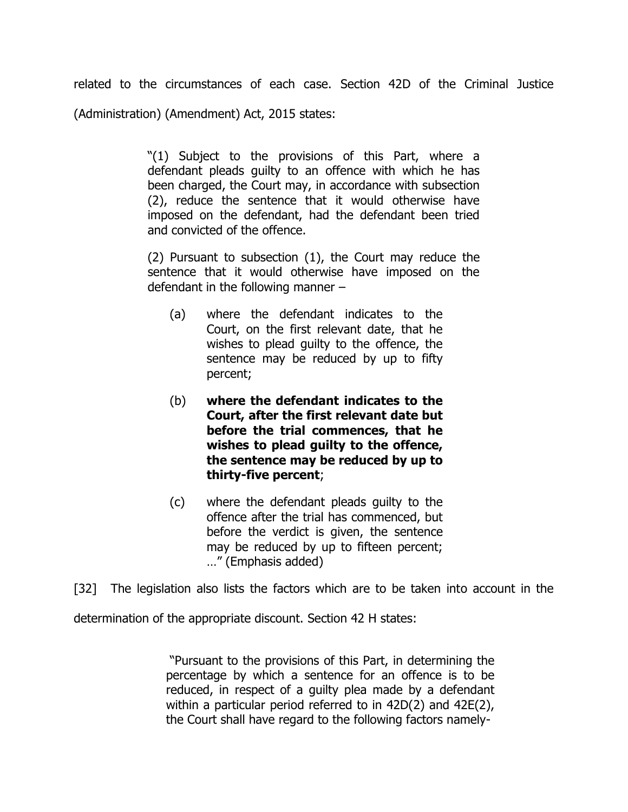related to the circumstances of each case. Section 42D of the Criminal Justice (Administration) (Amendment) Act, 2015 states:

> "(1) Subject to the provisions of this Part, where a defendant pleads guilty to an offence with which he has been charged, the Court may, in accordance with subsection (2), reduce the sentence that it would otherwise have imposed on the defendant, had the defendant been tried and convicted of the offence.

> (2) Pursuant to subsection (1), the Court may reduce the sentence that it would otherwise have imposed on the defendant in the following manner –

- (a) where the defendant indicates to the Court, on the first relevant date, that he wishes to plead guilty to the offence, the sentence may be reduced by up to fifty percent;
- (b) **where the defendant indicates to the Court, after the first relevant date but before the trial commences, that he wishes to plead guilty to the offence, the sentence may be reduced by up to thirty-five percent**;
- (c) where the defendant pleads guilty to the offence after the trial has commenced, but before the verdict is given, the sentence may be reduced by up to fifteen percent; …" (Emphasis added)

[32] The legislation also lists the factors which are to be taken into account in the

determination of the appropriate discount. Section 42 H states:

"Pursuant to the provisions of this Part, in determining the percentage by which a sentence for an offence is to be reduced, in respect of a guilty plea made by a defendant within a particular period referred to in 42D(2) and 42E(2), the Court shall have regard to the following factors namely-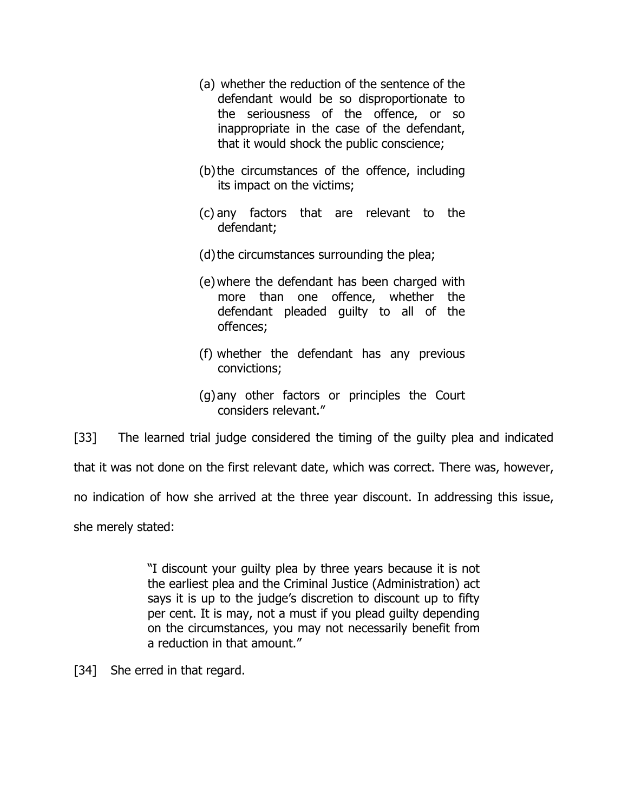- (a) whether the reduction of the sentence of the defendant would be so disproportionate to the seriousness of the offence, or so inappropriate in the case of the defendant, that it would shock the public conscience;
- (b)the circumstances of the offence, including its impact on the victims;
- (c) any factors that are relevant to the defendant;
- (d) the circumstances surrounding the plea;
- (e)where the defendant has been charged with more than one offence, whether the defendant pleaded guilty to all of the offences;
- (f) whether the defendant has any previous convictions;
- (g)any other factors or principles the Court considers relevant."

[33] The learned trial judge considered the timing of the guilty plea and indicated

that it was not done on the first relevant date, which was correct. There was, however,

no indication of how she arrived at the three year discount. In addressing this issue,

she merely stated:

"I discount your guilty plea by three years because it is not the earliest plea and the Criminal Justice (Administration) act says it is up to the judge's discretion to discount up to fifty per cent. It is may, not a must if you plead guilty depending on the circumstances, you may not necessarily benefit from a reduction in that amount."

[34] She erred in that regard.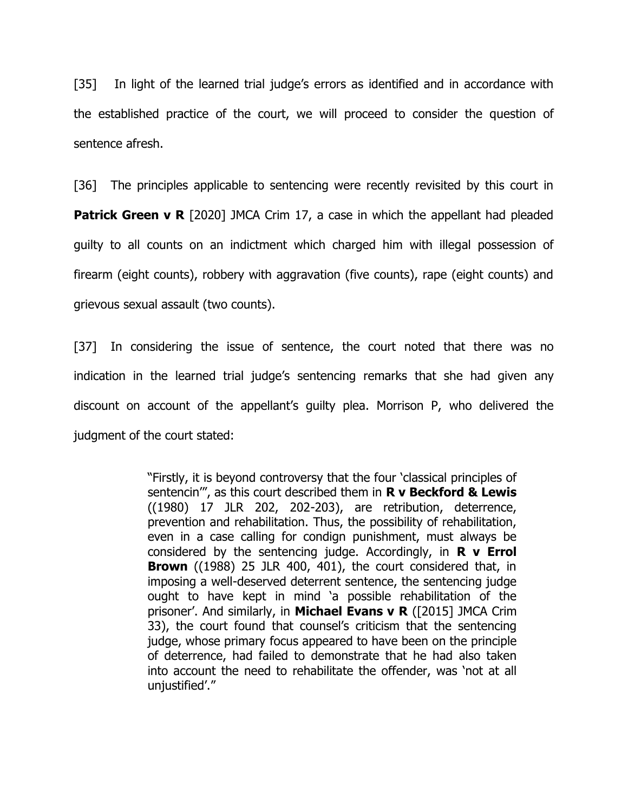[35] In light of the learned trial judge's errors as identified and in accordance with the established practice of the court, we will proceed to consider the question of sentence afresh.

[36] The principles applicable to sentencing were recently revisited by this court in **Patrick Green v R** [2020] JMCA Crim 17, a case in which the appellant had pleaded guilty to all counts on an indictment which charged him with illegal possession of firearm (eight counts), robbery with aggravation (five counts), rape (eight counts) and grievous sexual assault (two counts).

[37] In considering the issue of sentence, the court noted that there was no indication in the learned trial judge's sentencing remarks that she had given any discount on account of the appellant's guilty plea. Morrison P, who delivered the judgment of the court stated:

> "Firstly, it is beyond controversy that the four 'classical principles of sentencin'", as this court described them in **R v Beckford & Lewis**  ((1980) 17 JLR 202, 202-203), are retribution, deterrence, prevention and rehabilitation. Thus, the possibility of rehabilitation, even in a case calling for condign punishment, must always be considered by the sentencing judge. Accordingly, in **R v Errol Brown** ((1988) 25 JLR 400, 401), the court considered that, in imposing a well-deserved deterrent sentence, the sentencing judge ought to have kept in mind 'a possible rehabilitation of the prisoner'. And similarly, in **Michael Evans v R** ([2015] JMCA Crim 33), the court found that counsel's criticism that the sentencing judge, whose primary focus appeared to have been on the principle of deterrence, had failed to demonstrate that he had also taken into account the need to rehabilitate the offender, was 'not at all unjustified'."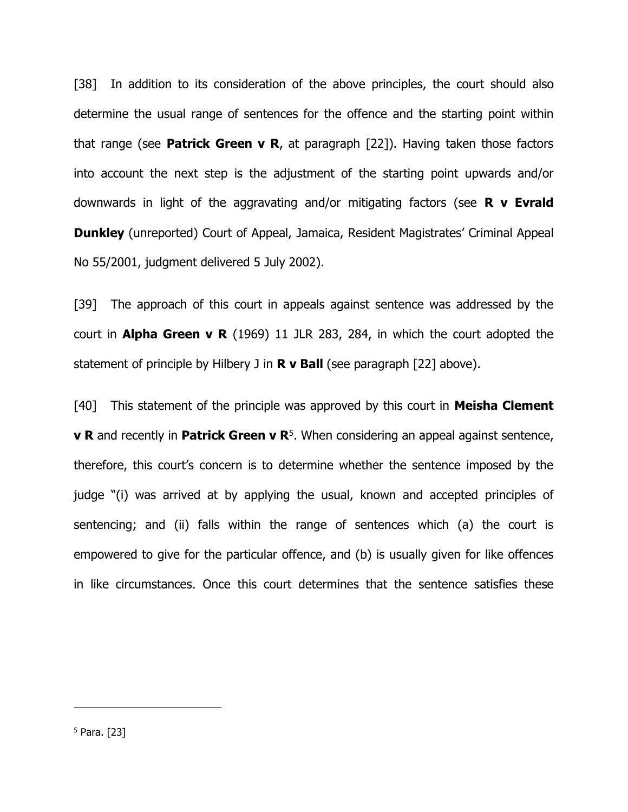[38] In addition to its consideration of the above principles, the court should also determine the usual range of sentences for the offence and the starting point within that range (see **Patrick Green v R**, at paragraph [22]). Having taken those factors into account the next step is the adjustment of the starting point upwards and/or downwards in light of the aggravating and/or mitigating factors (see **R v Evrald Dunkley** (unreported) Court of Appeal, Jamaica, Resident Magistrates' Criminal Appeal No 55/2001, judgment delivered 5 July 2002).

[39] The approach of this court in appeals against sentence was addressed by the court in **Alpha Green v R** (1969) 11 JLR 283, 284, in which the court adopted the statement of principle by Hilbery J in **R v Ball** (see paragraph [22] above).

[40] This statement of the principle was approved by this court in **Meisha Clement v R** and recently in **Patrick Green v R**<sup>5</sup>. When considering an appeal against sentence, therefore, this court's concern is to determine whether the sentence imposed by the judge "(i) was arrived at by applying the usual, known and accepted principles of sentencing; and (ii) falls within the range of sentences which (a) the court is empowered to give for the particular offence, and (b) is usually given for like offences in like circumstances. Once this court determines that the sentence satisfies these

<sup>5</sup> Para. [23]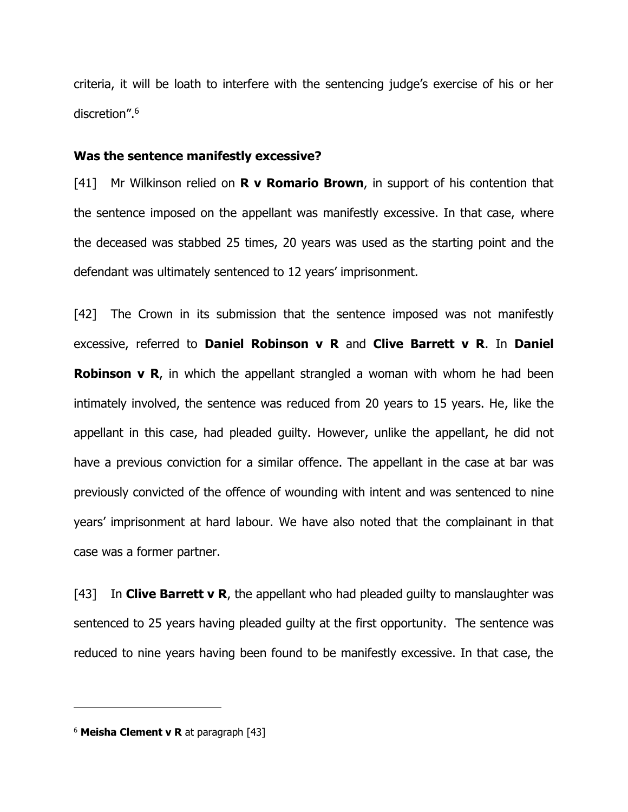criteria, it will be loath to interfere with the sentencing judge's exercise of his or her discretion". 6

#### **Was the sentence manifestly excessive?**

[41] Mr Wilkinson relied on **R v Romario Brown**, in support of his contention that the sentence imposed on the appellant was manifestly excessive. In that case, where the deceased was stabbed 25 times, 20 years was used as the starting point and the defendant was ultimately sentenced to 12 years' imprisonment.

[42] The Crown in its submission that the sentence imposed was not manifestly excessive, referred to **Daniel Robinson v R** and **Clive Barrett v R**. In **Daniel Robinson v R**, in which the appellant strangled a woman with whom he had been intimately involved, the sentence was reduced from 20 years to 15 years. He, like the appellant in this case, had pleaded guilty. However, unlike the appellant, he did not have a previous conviction for a similar offence. The appellant in the case at bar was previously convicted of the offence of wounding with intent and was sentenced to nine years' imprisonment at hard labour. We have also noted that the complainant in that case was a former partner.

[43] In **Clive Barrett v R**, the appellant who had pleaded guilty to manslaughter was sentenced to 25 years having pleaded guilty at the first opportunity. The sentence was reduced to nine years having been found to be manifestly excessive. In that case, the

<sup>6</sup> **Meisha Clement v R** at paragraph [43]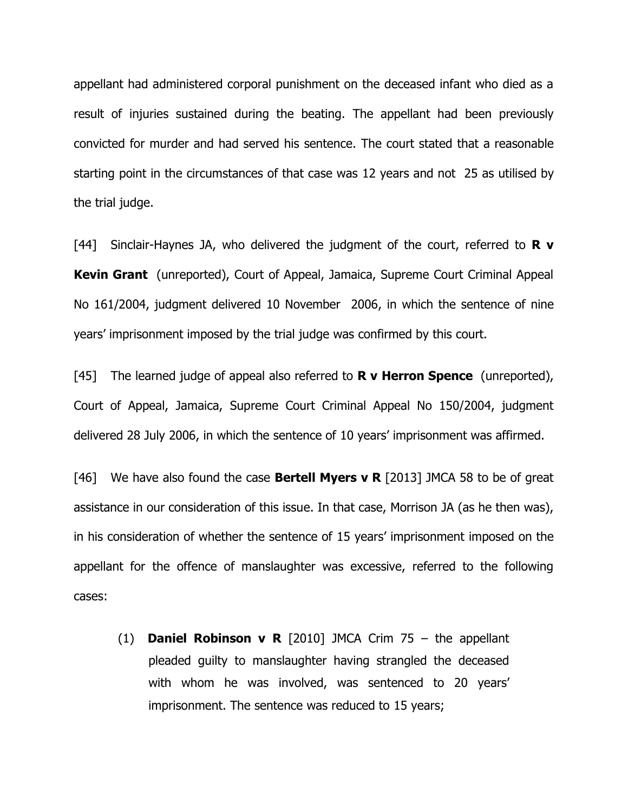appellant had administered corporal punishment on the deceased infant who died as a result of injuries sustained during the beating. The appellant had been previously convicted for murder and had served his sentence. The court stated that a reasonable starting point in the circumstances of that case was 12 years and not 25 as utilised by the trial judge.

[44] Sinclair-Haynes JA, who delivered the judgment of the court, referred to **R v Kevin Grant** (unreported), Court of Appeal, Jamaica, Supreme Court Criminal Appeal No 161/2004, judgment delivered 10 November 2006, in which the sentence of nine years' imprisonment imposed by the trial judge was confirmed by this court.

[45] The learned judge of appeal also referred to **R v Herron Spence** (unreported), Court of Appeal, Jamaica, Supreme Court Criminal Appeal No 150/2004, judgment delivered 28 July 2006, in which the sentence of 10 years' imprisonment was affirmed.

[46] We have also found the case **Bertell Myers v R** [2013] JMCA 58 to be of great assistance in our consideration of this issue. In that case, Morrison JA (as he then was), in his consideration of whether the sentence of 15 years' imprisonment imposed on the appellant for the offence of manslaughter was excessive, referred to the following cases:

(1) **Daniel Robinson v R** [2010] JMCA Crim 75 – the appellant pleaded guilty to manslaughter having strangled the deceased with whom he was involved, was sentenced to 20 years' imprisonment. The sentence was reduced to 15 years;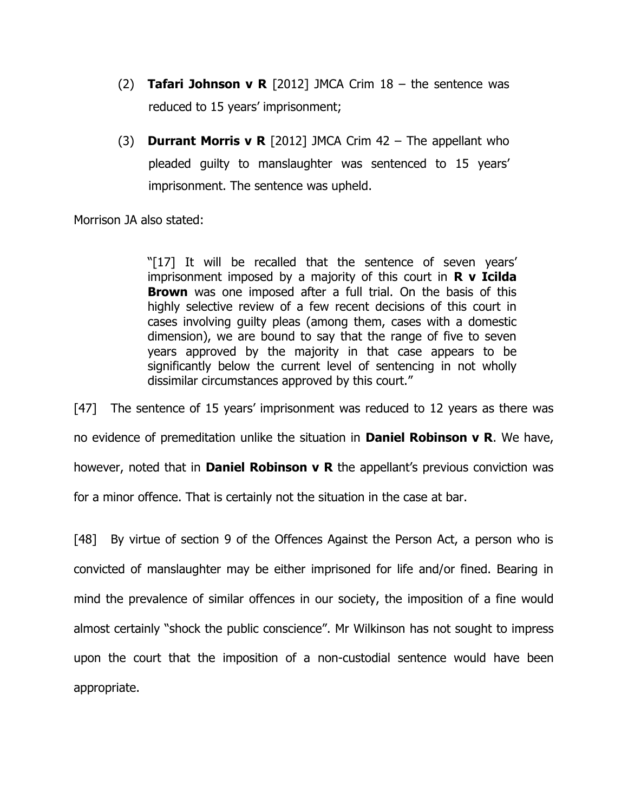- (2) **Tafari Johnson v R** [2012] JMCA Crim 18 the sentence was reduced to 15 years' imprisonment;
- (3) **Durrant Morris v R** [2012] JMCA Crim 42 The appellant who pleaded guilty to manslaughter was sentenced to 15 years' imprisonment. The sentence was upheld.

Morrison JA also stated:

"[17] It will be recalled that the sentence of seven years' imprisonment imposed by a majority of this court in **R v Icilda Brown** was one imposed after a full trial. On the basis of this highly selective review of a few recent decisions of this court in cases involving guilty pleas (among them, cases with a domestic dimension), we are bound to say that the range of five to seven years approved by the majority in that case appears to be significantly below the current level of sentencing in not wholly dissimilar circumstances approved by this court."

[47] The sentence of 15 years' imprisonment was reduced to 12 years as there was no evidence of premeditation unlike the situation in **Daniel Robinson v R**. We have, however, noted that in **Daniel Robinson v R** the appellant's previous conviction was for a minor offence. That is certainly not the situation in the case at bar.

[48] By virtue of section 9 of the Offences Against the Person Act, a person who is convicted of manslaughter may be either imprisoned for life and/or fined. Bearing in mind the prevalence of similar offences in our society, the imposition of a fine would almost certainly "shock the public conscience". Mr Wilkinson has not sought to impress upon the court that the imposition of a non-custodial sentence would have been appropriate.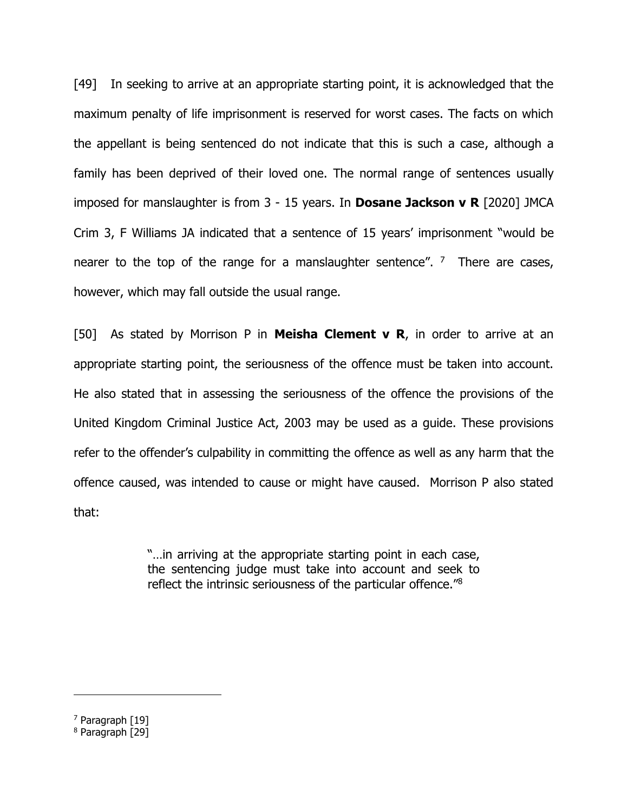[49] In seeking to arrive at an appropriate starting point, it is acknowledged that the maximum penalty of life imprisonment is reserved for worst cases. The facts on which the appellant is being sentenced do not indicate that this is such a case, although a family has been deprived of their loved one. The normal range of sentences usually imposed for manslaughter is from 3 - 15 years. In **Dosane Jackson v R** [2020] JMCA Crim 3, F Williams JA indicated that a sentence of 15 years' imprisonment "would be nearer to the top of the range for a manslaughter sentence". <sup>7</sup> There are cases, however, which may fall outside the usual range.

[50] As stated by Morrison P in **Meisha Clement v R**, in order to arrive at an appropriate starting point, the seriousness of the offence must be taken into account. He also stated that in assessing the seriousness of the offence the provisions of the United Kingdom Criminal Justice Act, 2003 may be used as a guide. These provisions refer to the offender's culpability in committing the offence as well as any harm that the offence caused, was intended to cause or might have caused. Morrison P also stated that:

> "…in arriving at the appropriate starting point in each case, the sentencing judge must take into account and seek to reflect the intrinsic seriousness of the particular offence."<sup>8</sup>

<sup>7</sup> Paragraph [19]

<sup>8</sup> Paragraph [29]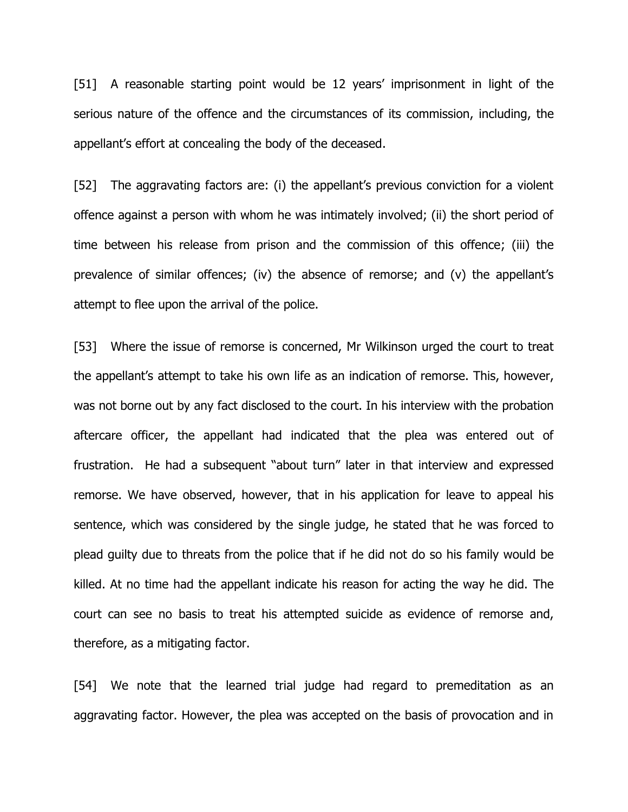[51] A reasonable starting point would be 12 years' imprisonment in light of the serious nature of the offence and the circumstances of its commission, including, the appellant's effort at concealing the body of the deceased.

[52] The aggravating factors are: (i) the appellant's previous conviction for a violent offence against a person with whom he was intimately involved; (ii) the short period of time between his release from prison and the commission of this offence; (iii) the prevalence of similar offences; (iv) the absence of remorse; and (v) the appellant's attempt to flee upon the arrival of the police.

[53] Where the issue of remorse is concerned, Mr Wilkinson urged the court to treat the appellant's attempt to take his own life as an indication of remorse. This, however, was not borne out by any fact disclosed to the court. In his interview with the probation aftercare officer, the appellant had indicated that the plea was entered out of frustration. He had a subsequent "about turn" later in that interview and expressed remorse. We have observed, however, that in his application for leave to appeal his sentence, which was considered by the single judge, he stated that he was forced to plead guilty due to threats from the police that if he did not do so his family would be killed. At no time had the appellant indicate his reason for acting the way he did. The court can see no basis to treat his attempted suicide as evidence of remorse and, therefore, as a mitigating factor.

[54] We note that the learned trial judge had regard to premeditation as an aggravating factor. However, the plea was accepted on the basis of provocation and in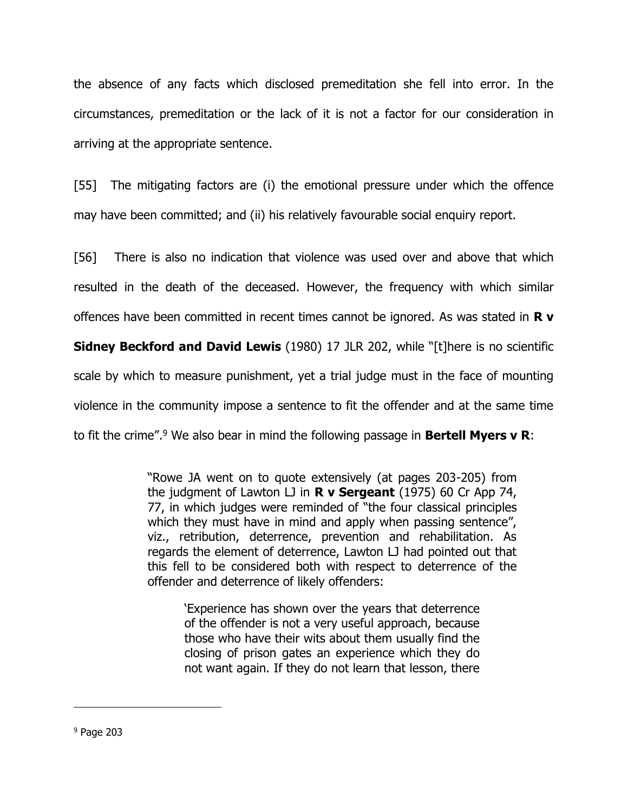the absence of any facts which disclosed premeditation she fell into error. In the circumstances, premeditation or the lack of it is not a factor for our consideration in arriving at the appropriate sentence.

[55] The mitigating factors are (i) the emotional pressure under which the offence may have been committed; and (ii) his relatively favourable social enquiry report.

[56] There is also no indication that violence was used over and above that which resulted in the death of the deceased. However, the frequency with which similar offences have been committed in recent times cannot be ignored. As was stated in **R v** 

**Sidney Beckford and David Lewis** (1980) 17 JLR 202, while "[t]here is no scientific scale by which to measure punishment, yet a trial judge must in the face of mounting violence in the community impose a sentence to fit the offender and at the same time to fit the crime".<sup>9</sup> We also bear in mind the following passage in **Bertell Myers v R**:

> "Rowe JA went on to quote extensively (at pages 203-205) from the judgment of Lawton LJ in **R v Sergeant** (1975) 60 Cr App 74, 77, in which judges were reminded of "the four classical principles which they must have in mind and apply when passing sentence", viz., retribution, deterrence, prevention and rehabilitation. As regards the element of deterrence, Lawton LJ had pointed out that this fell to be considered both with respect to deterrence of the offender and deterrence of likely offenders:

'Experience has shown over the years that deterrence of the offender is not a very useful approach, because those who have their wits about them usually find the closing of prison gates an experience which they do not want again. If they do not learn that lesson, there

<sup>9</sup> Page 203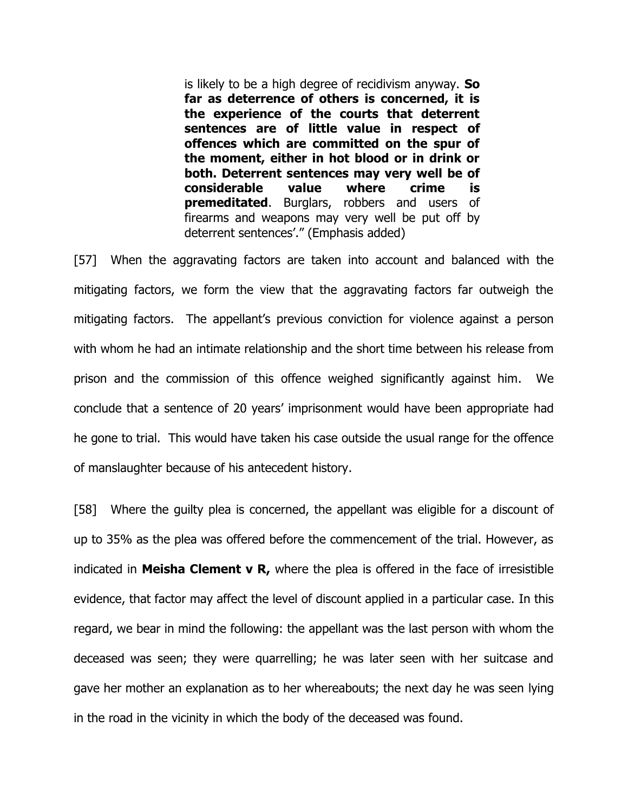is likely to be a high degree of recidivism anyway. **So far as deterrence of others is concerned, it is the experience of the courts that deterrent sentences are of little value in respect of offences which are committed on the spur of the moment, either in hot blood or in drink or both. Deterrent sentences may very well be of considerable value where crime is premeditated**. Burglars, robbers and users of firearms and weapons may very well be put off by deterrent sentences'." (Emphasis added)

[57] When the aggravating factors are taken into account and balanced with the mitigating factors, we form the view that the aggravating factors far outweigh the mitigating factors. The appellant's previous conviction for violence against a person with whom he had an intimate relationship and the short time between his release from prison and the commission of this offence weighed significantly against him. We conclude that a sentence of 20 years' imprisonment would have been appropriate had he gone to trial. This would have taken his case outside the usual range for the offence of manslaughter because of his antecedent history.

[58] Where the guilty plea is concerned, the appellant was eligible for a discount of up to 35% as the plea was offered before the commencement of the trial. However, as indicated in **Meisha Clement v R,** where the plea is offered in the face of irresistible evidence, that factor may affect the level of discount applied in a particular case. In this regard, we bear in mind the following: the appellant was the last person with whom the deceased was seen; they were quarrelling; he was later seen with her suitcase and gave her mother an explanation as to her whereabouts; the next day he was seen lying in the road in the vicinity in which the body of the deceased was found.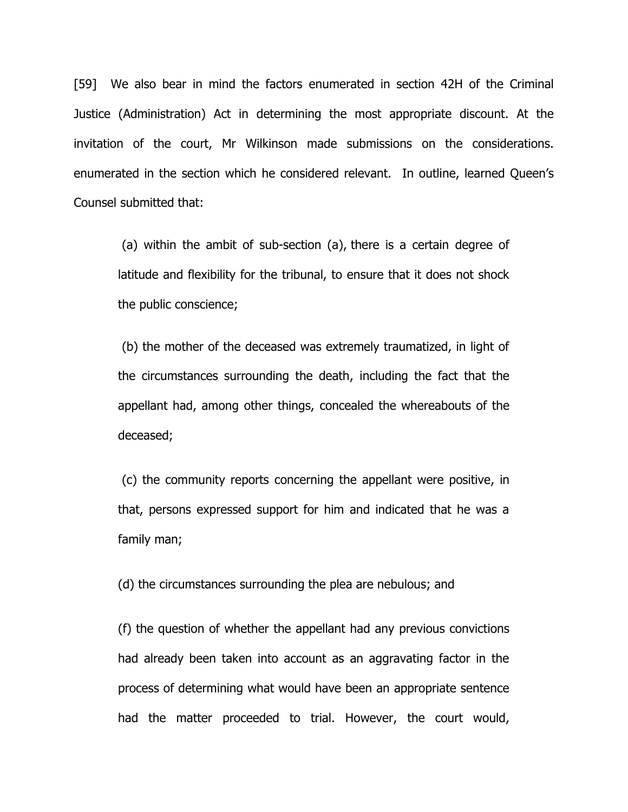[59] We also bear in mind the factors enumerated in section 42H of the Criminal Justice (Administration) Act in determining the most appropriate discount. At the invitation of the court, Mr Wilkinson made submissions on the considerations. enumerated in the section which he considered relevant. In outline, learned Queen's Counsel submitted that:

(a) within the ambit of sub-section (a), there is a certain degree of latitude and flexibility for the tribunal, to ensure that it does not shock the public conscience;

(b) the mother of the deceased was extremely traumatized, in light of the circumstances surrounding the death, including the fact that the appellant had, among other things, concealed the whereabouts of the deceased;

(c) the community reports concerning the appellant were positive, in that, persons expressed support for him and indicated that he was a family man;

(d) the circumstances surrounding the plea are nebulous; and

(f) the question of whether the appellant had any previous convictions had already been taken into account as an aggravating factor in the process of determining what would have been an appropriate sentence had the matter proceeded to trial. However, the court would,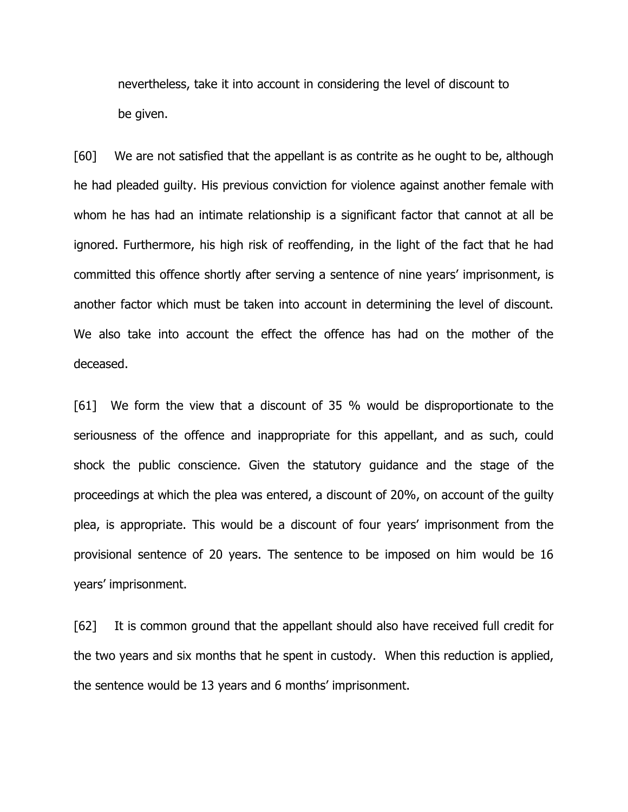nevertheless, take it into account in considering the level of discount to be given.

[60] We are not satisfied that the appellant is as contrite as he ought to be, although he had pleaded guilty. His previous conviction for violence against another female with whom he has had an intimate relationship is a significant factor that cannot at all be ignored. Furthermore, his high risk of reoffending, in the light of the fact that he had committed this offence shortly after serving a sentence of nine years' imprisonment, is another factor which must be taken into account in determining the level of discount. We also take into account the effect the offence has had on the mother of the deceased.

[61] We form the view that a discount of 35 % would be disproportionate to the seriousness of the offence and inappropriate for this appellant, and as such, could shock the public conscience. Given the statutory guidance and the stage of the proceedings at which the plea was entered, a discount of 20%, on account of the guilty plea, is appropriate. This would be a discount of four years' imprisonment from the provisional sentence of 20 years. The sentence to be imposed on him would be 16 years' imprisonment.

[62] It is common ground that the appellant should also have received full credit for the two years and six months that he spent in custody. When this reduction is applied, the sentence would be 13 years and 6 months' imprisonment.